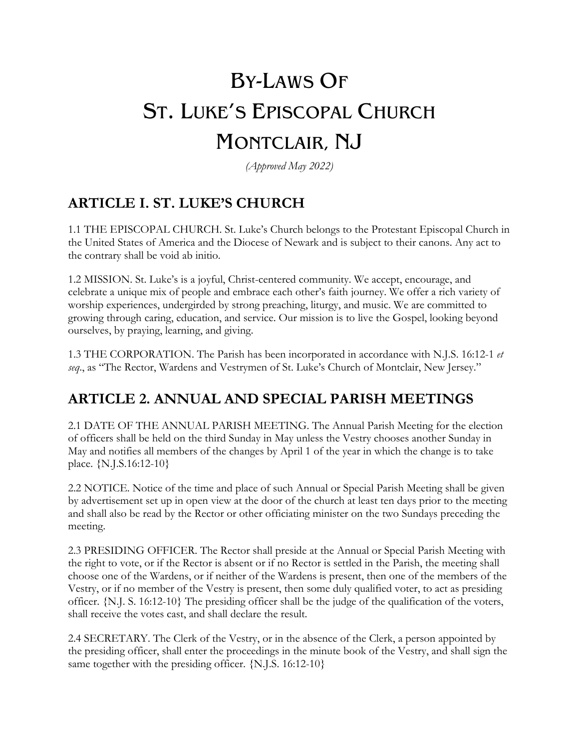# BY-LAWS OF ST. LUKE'S EPISCOPAL CHURCH MONTCLAIR, NJ

*(Approved May 2022)*

## **ARTICLE I. ST. LUKE'S CHURCH**

1.1 THE EPISCOPAL CHURCH. St. Luke's Church belongs to the Protestant Episcopal Church in the United States of America and the Diocese of Newark and is subject to their canons. Any act to the contrary shall be void ab initio.

1.2 MISSION. St. Luke's is a joyful, Christ-centered community. We accept, encourage, and celebrate a unique mix of people and embrace each other's faith journey. We offer a rich variety of worship experiences, undergirded by strong preaching, liturgy, and music. We are committed to growing through caring, education, and service. Our mission is to live the Gospel, looking beyond ourselves, by praying, learning, and giving.

1.3 THE CORPORATION. The Parish has been incorporated in accordance with N.J.S. 16:12-1 *et seq*., as "The Rector, Wardens and Vestrymen of St. Luke's Church of Montclair, New Jersey."

### **ARTICLE 2. ANNUAL AND SPECIAL PARISH MEETINGS**

2.1 DATE OF THE ANNUAL PARISH MEETING. The Annual Parish Meeting for the election of officers shall be held on the third Sunday in May unless the Vestry chooses another Sunday in May and notifies all members of the changes by April 1 of the year in which the change is to take place. {N.J.S.16:12-10}

2.2 NOTICE. Notice of the time and place of such Annual or Special Parish Meeting shall be given by advertisement set up in open view at the door of the church at least ten days prior to the meeting and shall also be read by the Rector or other officiating minister on the two Sundays preceding the meeting.

2.3 PRESIDING OFFICER. The Rector shall preside at the Annual or Special Parish Meeting with the right to vote, or if the Rector is absent or if no Rector is settled in the Parish, the meeting shall choose one of the Wardens, or if neither of the Wardens is present, then one of the members of the Vestry, or if no member of the Vestry is present, then some duly qualified voter, to act as presiding officer. {N.J. S. 16:12-10} The presiding officer shall be the judge of the qualification of the voters, shall receive the votes cast, and shall declare the result.

2.4 SECRETARY. The Clerk of the Vestry, or in the absence of the Clerk, a person appointed by the presiding officer, shall enter the proceedings in the minute book of the Vestry, and shall sign the same together with the presiding officer.  ${N.I.S. 16:12-10}$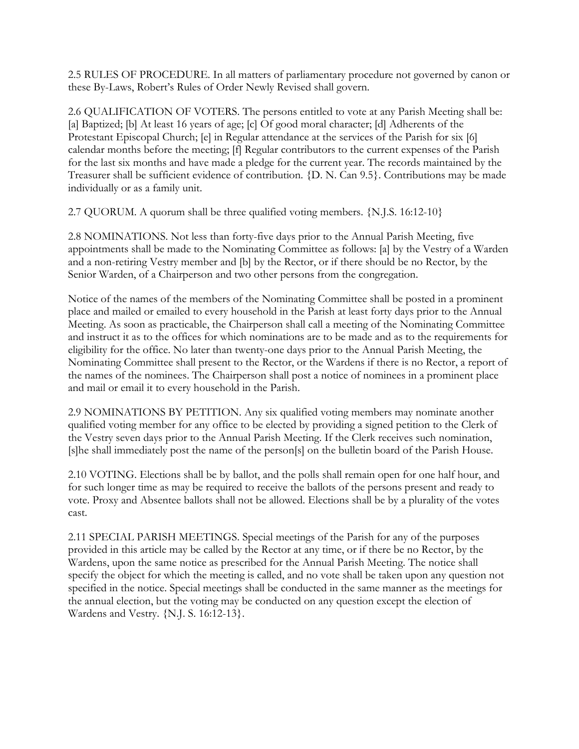2.5 RULES OF PROCEDURE. In all matters of parliamentary procedure not governed by canon or these By-Laws, Robert's Rules of Order Newly Revised shall govern.

2.6 QUALIFICATION OF VOTERS. The persons entitled to vote at any Parish Meeting shall be: [a] Baptized; [b] At least 16 years of age; [c] Of good moral character; [d] Adherents of the Protestant Episcopal Church; [e] in Regular attendance at the services of the Parish for six [6] calendar months before the meeting; [f] Regular contributors to the current expenses of the Parish for the last six months and have made a pledge for the current year. The records maintained by the Treasurer shall be sufficient evidence of contribution. {D. N. Can 9.5}. Contributions may be made individually or as a family unit.

2.7 QUORUM. A quorum shall be three qualified voting members. {N.J.S. 16:12-10}

2.8 NOMINATIONS. Not less than forty-five days prior to the Annual Parish Meeting, five appointments shall be made to the Nominating Committee as follows: [a] by the Vestry of a Warden and a non-retiring Vestry member and [b] by the Rector, or if there should be no Rector, by the Senior Warden, of a Chairperson and two other persons from the congregation.

Notice of the names of the members of the Nominating Committee shall be posted in a prominent place and mailed or emailed to every household in the Parish at least forty days prior to the Annual Meeting. As soon as practicable, the Chairperson shall call a meeting of the Nominating Committee and instruct it as to the offices for which nominations are to be made and as to the requirements for eligibility for the office. No later than twenty-one days prior to the Annual Parish Meeting, the Nominating Committee shall present to the Rector, or the Wardens if there is no Rector, a report of the names of the nominees. The Chairperson shall post a notice of nominees in a prominent place and mail or email it to every household in the Parish.

2.9 NOMINATIONS BY PETITION. Any six qualified voting members may nominate another qualified voting member for any office to be elected by providing a signed petition to the Clerk of the Vestry seven days prior to the Annual Parish Meeting. If the Clerk receives such nomination, [s]he shall immediately post the name of the person[s] on the bulletin board of the Parish House.

2.10 VOTING. Elections shall be by ballot, and the polls shall remain open for one half hour, and for such longer time as may be required to receive the ballots of the persons present and ready to vote. Proxy and Absentee ballots shall not be allowed. Elections shall be by a plurality of the votes cast.

2.11 SPECIAL PARISH MEETINGS. Special meetings of the Parish for any of the purposes provided in this article may be called by the Rector at any time, or if there be no Rector, by the Wardens, upon the same notice as prescribed for the Annual Parish Meeting. The notice shall specify the object for which the meeting is called, and no vote shall be taken upon any question not specified in the notice. Special meetings shall be conducted in the same manner as the meetings for the annual election, but the voting may be conducted on any question except the election of Wardens and Vestry. {N.J. S. 16:12-13}.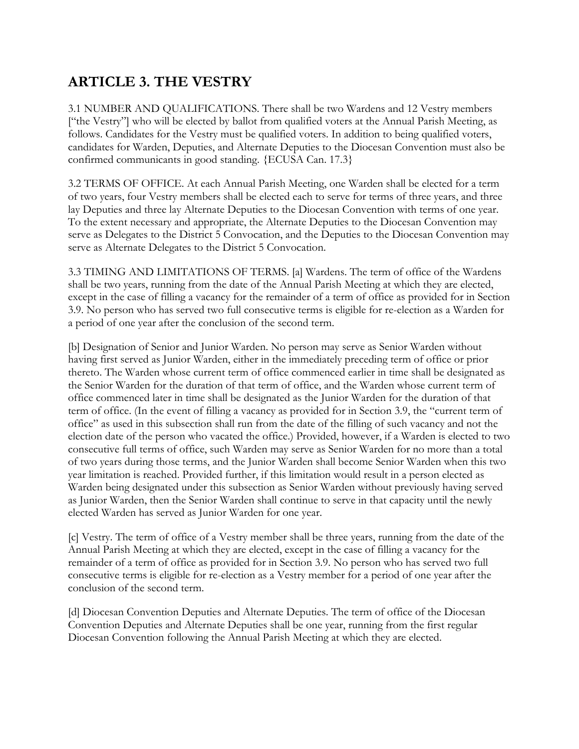# **ARTICLE 3. THE VESTRY**

3.1 NUMBER AND QUALIFICATIONS. There shall be two Wardens and 12 Vestry members ["the Vestry"] who will be elected by ballot from qualified voters at the Annual Parish Meeting, as follows. Candidates for the Vestry must be qualified voters. In addition to being qualified voters, candidates for Warden, Deputies, and Alternate Deputies to the Diocesan Convention must also be confirmed communicants in good standing. {ECUSA Can. 17.3}

3.2 TERMS OF OFFICE. At each Annual Parish Meeting, one Warden shall be elected for a term of two years, four Vestry members shall be elected each to serve for terms of three years, and three lay Deputies and three lay Alternate Deputies to the Diocesan Convention with terms of one year. To the extent necessary and appropriate, the Alternate Deputies to the Diocesan Convention may serve as Delegates to the District 5 Convocation, and the Deputies to the Diocesan Convention may serve as Alternate Delegates to the District 5 Convocation.

3.3 TIMING AND LIMITATIONS OF TERMS. [a] Wardens. The term of office of the Wardens shall be two years, running from the date of the Annual Parish Meeting at which they are elected, except in the case of filling a vacancy for the remainder of a term of office as provided for in Section 3.9. No person who has served two full consecutive terms is eligible for re-election as a Warden for a period of one year after the conclusion of the second term.

[b] Designation of Senior and Junior Warden. No person may serve as Senior Warden without having first served as Junior Warden, either in the immediately preceding term of office or prior thereto. The Warden whose current term of office commenced earlier in time shall be designated as the Senior Warden for the duration of that term of office, and the Warden whose current term of office commenced later in time shall be designated as the Junior Warden for the duration of that term of office. (In the event of filling a vacancy as provided for in Section 3.9, the "current term of office" as used in this subsection shall run from the date of the filling of such vacancy and not the election date of the person who vacated the office.) Provided, however, if a Warden is elected to two consecutive full terms of office, such Warden may serve as Senior Warden for no more than a total of two years during those terms, and the Junior Warden shall become Senior Warden when this two year limitation is reached. Provided further, if this limitation would result in a person elected as Warden being designated under this subsection as Senior Warden without previously having served as Junior Warden, then the Senior Warden shall continue to serve in that capacity until the newly elected Warden has served as Junior Warden for one year.

[c] Vestry. The term of office of a Vestry member shall be three years, running from the date of the Annual Parish Meeting at which they are elected, except in the case of filling a vacancy for the remainder of a term of office as provided for in Section 3.9. No person who has served two full consecutive terms is eligible for re-election as a Vestry member for a period of one year after the conclusion of the second term.

[d] Diocesan Convention Deputies and Alternate Deputies. The term of office of the Diocesan Convention Deputies and Alternate Deputies shall be one year, running from the first regular Diocesan Convention following the Annual Parish Meeting at which they are elected.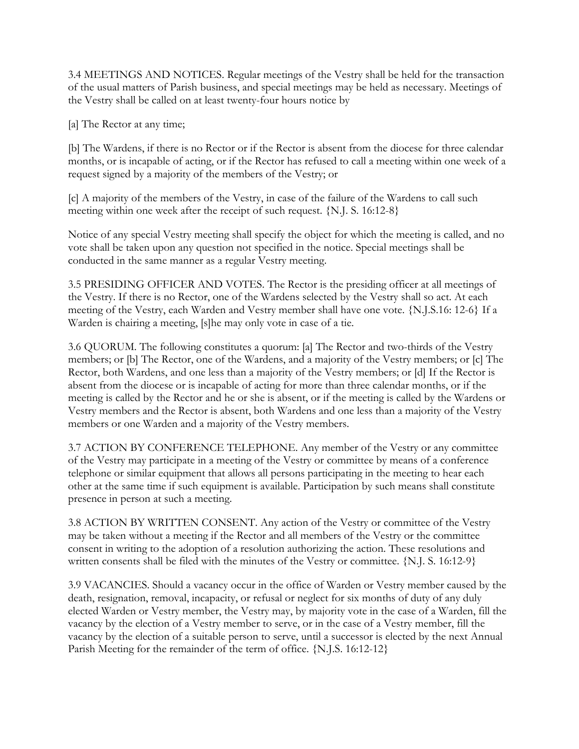3.4 MEETINGS AND NOTICES. Regular meetings of the Vestry shall be held for the transaction of the usual matters of Parish business, and special meetings may be held as necessary. Meetings of the Vestry shall be called on at least twenty-four hours notice by

[a] The Rector at any time;

[b] The Wardens, if there is no Rector or if the Rector is absent from the diocese for three calendar months, or is incapable of acting, or if the Rector has refused to call a meeting within one week of a request signed by a majority of the members of the Vestry; or

[c] A majority of the members of the Vestry, in case of the failure of the Wardens to call such meeting within one week after the receipt of such request. {N.J. S. 16:12-8}

Notice of any special Vestry meeting shall specify the object for which the meeting is called, and no vote shall be taken upon any question not specified in the notice. Special meetings shall be conducted in the same manner as a regular Vestry meeting.

3.5 PRESIDING OFFICER AND VOTES. The Rector is the presiding officer at all meetings of the Vestry. If there is no Rector, one of the Wardens selected by the Vestry shall so act. At each meeting of the Vestry, each Warden and Vestry member shall have one vote. {N.J.S.16: 12-6} If a Warden is chairing a meeting, [s]he may only vote in case of a tie.

3.6 QUORUM. The following constitutes a quorum: [a] The Rector and two-thirds of the Vestry members; or [b] The Rector, one of the Wardens, and a majority of the Vestry members; or [c] The Rector, both Wardens, and one less than a majority of the Vestry members; or [d] If the Rector is absent from the diocese or is incapable of acting for more than three calendar months, or if the meeting is called by the Rector and he or she is absent, or if the meeting is called by the Wardens or Vestry members and the Rector is absent, both Wardens and one less than a majority of the Vestry members or one Warden and a majority of the Vestry members.

3.7 ACTION BY CONFERENCE TELEPHONE. Any member of the Vestry or any committee of the Vestry may participate in a meeting of the Vestry or committee by means of a conference telephone or similar equipment that allows all persons participating in the meeting to hear each other at the same time if such equipment is available. Participation by such means shall constitute presence in person at such a meeting.

3.8 ACTION BY WRITTEN CONSENT. Any action of the Vestry or committee of the Vestry may be taken without a meeting if the Rector and all members of the Vestry or the committee consent in writing to the adoption of a resolution authorizing the action. These resolutions and written consents shall be filed with the minutes of the Vestry or committee. {N.J. S. 16:12-9}

3.9 VACANCIES. Should a vacancy occur in the office of Warden or Vestry member caused by the death, resignation, removal, incapacity, or refusal or neglect for six months of duty of any duly elected Warden or Vestry member, the Vestry may, by majority vote in the case of a Warden, fill the vacancy by the election of a Vestry member to serve, or in the case of a Vestry member, fill the vacancy by the election of a suitable person to serve, until a successor is elected by the next Annual Parish Meeting for the remainder of the term of office. {N.J.S. 16:12-12}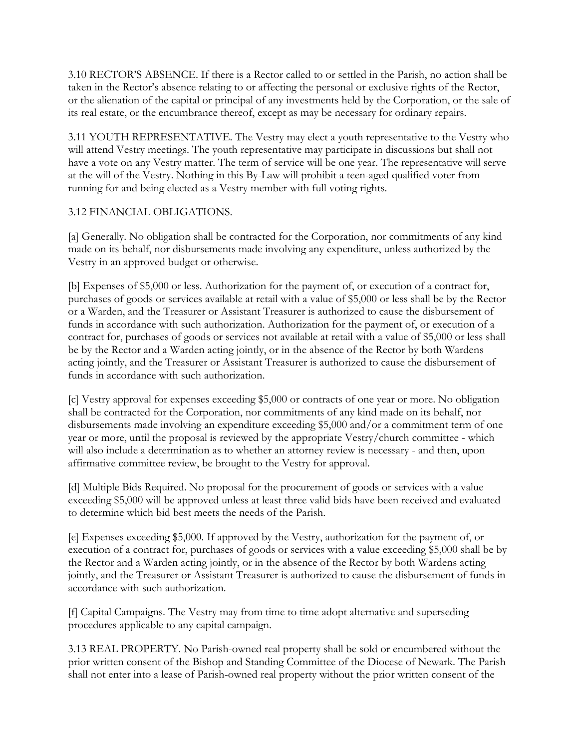3.10 RECTOR'S ABSENCE. If there is a Rector called to or settled in the Parish, no action shall be taken in the Rector's absence relating to or affecting the personal or exclusive rights of the Rector, or the alienation of the capital or principal of any investments held by the Corporation, or the sale of its real estate, or the encumbrance thereof, except as may be necessary for ordinary repairs.

3.11 YOUTH REPRESENTATIVE. The Vestry may elect a youth representative to the Vestry who will attend Vestry meetings. The youth representative may participate in discussions but shall not have a vote on any Vestry matter. The term of service will be one year. The representative will serve at the will of the Vestry. Nothing in this By-Law will prohibit a teen-aged qualified voter from running for and being elected as a Vestry member with full voting rights.

#### 3.12 FINANCIAL OBLIGATIONS.

[a] Generally. No obligation shall be contracted for the Corporation, nor commitments of any kind made on its behalf, nor disbursements made involving any expenditure, unless authorized by the Vestry in an approved budget or otherwise.

[b] Expenses of \$5,000 or less. Authorization for the payment of, or execution of a contract for, purchases of goods or services available at retail with a value of \$5,000 or less shall be by the Rector or a Warden, and the Treasurer or Assistant Treasurer is authorized to cause the disbursement of funds in accordance with such authorization. Authorization for the payment of, or execution of a contract for, purchases of goods or services not available at retail with a value of \$5,000 or less shall be by the Rector and a Warden acting jointly, or in the absence of the Rector by both Wardens acting jointly, and the Treasurer or Assistant Treasurer is authorized to cause the disbursement of funds in accordance with such authorization.

[c] Vestry approval for expenses exceeding \$5,000 or contracts of one year or more. No obligation shall be contracted for the Corporation, nor commitments of any kind made on its behalf, nor disbursements made involving an expenditure exceeding \$5,000 and/or a commitment term of one year or more, until the proposal is reviewed by the appropriate Vestry/church committee - which will also include a determination as to whether an attorney review is necessary - and then, upon affirmative committee review, be brought to the Vestry for approval.

[d] Multiple Bids Required. No proposal for the procurement of goods or services with a value exceeding \$5,000 will be approved unless at least three valid bids have been received and evaluated to determine which bid best meets the needs of the Parish.

[e] Expenses exceeding \$5,000. If approved by the Vestry, authorization for the payment of, or execution of a contract for, purchases of goods or services with a value exceeding \$5,000 shall be by the Rector and a Warden acting jointly, or in the absence of the Rector by both Wardens acting jointly, and the Treasurer or Assistant Treasurer is authorized to cause the disbursement of funds in accordance with such authorization.

[f] Capital Campaigns. The Vestry may from time to time adopt alternative and superseding procedures applicable to any capital campaign.

3.13 REAL PROPERTY. No Parish-owned real property shall be sold or encumbered without the prior written consent of the Bishop and Standing Committee of the Diocese of Newark. The Parish shall not enter into a lease of Parish-owned real property without the prior written consent of the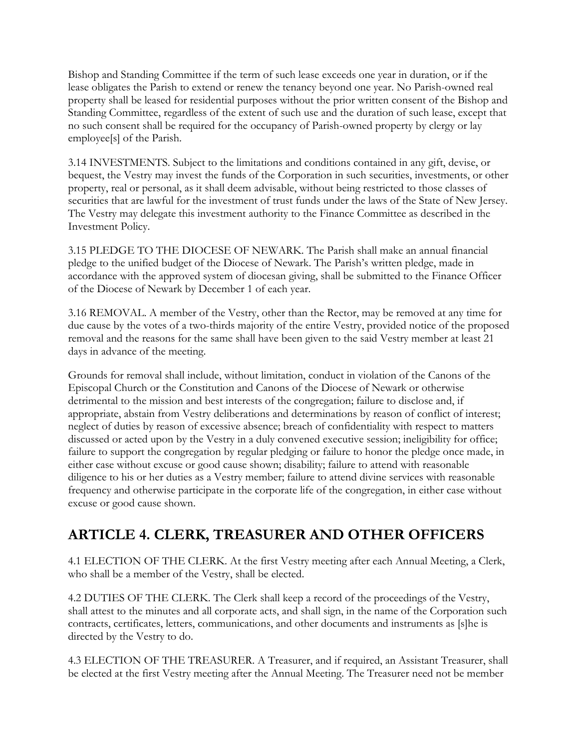Bishop and Standing Committee if the term of such lease exceeds one year in duration, or if the lease obligates the Parish to extend or renew the tenancy beyond one year. No Parish-owned real property shall be leased for residential purposes without the prior written consent of the Bishop and Standing Committee, regardless of the extent of such use and the duration of such lease, except that no such consent shall be required for the occupancy of Parish-owned property by clergy or lay employee[s] of the Parish.

3.14 INVESTMENTS. Subject to the limitations and conditions contained in any gift, devise, or bequest, the Vestry may invest the funds of the Corporation in such securities, investments, or other property, real or personal, as it shall deem advisable, without being restricted to those classes of securities that are lawful for the investment of trust funds under the laws of the State of New Jersey. The Vestry may delegate this investment authority to the Finance Committee as described in the Investment Policy.

3.15 PLEDGE TO THE DIOCESE OF NEWARK. The Parish shall make an annual financial pledge to the unified budget of the Diocese of Newark. The Parish's written pledge, made in accordance with the approved system of diocesan giving, shall be submitted to the Finance Officer of the Diocese of Newark by December 1 of each year.

3.16 REMOVAL. A member of the Vestry, other than the Rector, may be removed at any time for due cause by the votes of a two-thirds majority of the entire Vestry, provided notice of the proposed removal and the reasons for the same shall have been given to the said Vestry member at least 21 days in advance of the meeting.

Grounds for removal shall include, without limitation, conduct in violation of the Canons of the Episcopal Church or the Constitution and Canons of the Diocese of Newark or otherwise detrimental to the mission and best interests of the congregation; failure to disclose and, if appropriate, abstain from Vestry deliberations and determinations by reason of conflict of interest; neglect of duties by reason of excessive absence; breach of confidentiality with respect to matters discussed or acted upon by the Vestry in a duly convened executive session; ineligibility for office; failure to support the congregation by regular pledging or failure to honor the pledge once made, in either case without excuse or good cause shown; disability; failure to attend with reasonable diligence to his or her duties as a Vestry member; failure to attend divine services with reasonable frequency and otherwise participate in the corporate life of the congregation, in either case without excuse or good cause shown.

### **ARTICLE 4. CLERK, TREASURER AND OTHER OFFICERS**

4.1 ELECTION OF THE CLERK. At the first Vestry meeting after each Annual Meeting, a Clerk, who shall be a member of the Vestry, shall be elected.

4.2 DUTIES OF THE CLERK. The Clerk shall keep a record of the proceedings of the Vestry, shall attest to the minutes and all corporate acts, and shall sign, in the name of the Corporation such contracts, certificates, letters, communications, and other documents and instruments as [s]he is directed by the Vestry to do.

4.3 ELECTION OF THE TREASURER. A Treasurer, and if required, an Assistant Treasurer, shall be elected at the first Vestry meeting after the Annual Meeting. The Treasurer need not be member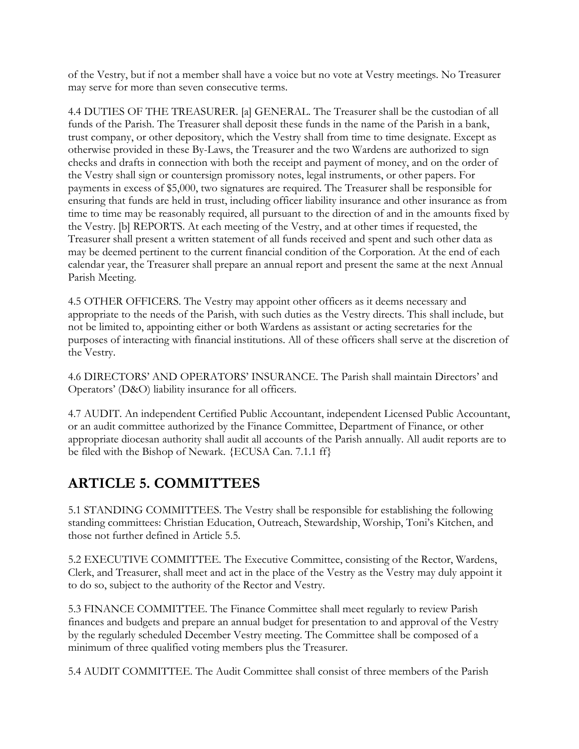of the Vestry, but if not a member shall have a voice but no vote at Vestry meetings. No Treasurer may serve for more than seven consecutive terms.

4.4 DUTIES OF THE TREASURER. [a] GENERAL. The Treasurer shall be the custodian of all funds of the Parish. The Treasurer shall deposit these funds in the name of the Parish in a bank, trust company, or other depository, which the Vestry shall from time to time designate. Except as otherwise provided in these By-Laws, the Treasurer and the two Wardens are authorized to sign checks and drafts in connection with both the receipt and payment of money, and on the order of the Vestry shall sign or countersign promissory notes, legal instruments, or other papers. For payments in excess of \$5,000, two signatures are required. The Treasurer shall be responsible for ensuring that funds are held in trust, including officer liability insurance and other insurance as from time to time may be reasonably required, all pursuant to the direction of and in the amounts fixed by the Vestry. [b] REPORTS. At each meeting of the Vestry, and at other times if requested, the Treasurer shall present a written statement of all funds received and spent and such other data as may be deemed pertinent to the current financial condition of the Corporation. At the end of each calendar year, the Treasurer shall prepare an annual report and present the same at the next Annual Parish Meeting.

4.5 OTHER OFFICERS. The Vestry may appoint other officers as it deems necessary and appropriate to the needs of the Parish, with such duties as the Vestry directs. This shall include, but not be limited to, appointing either or both Wardens as assistant or acting secretaries for the purposes of interacting with financial institutions. All of these officers shall serve at the discretion of the Vestry.

4.6 DIRECTORS' AND OPERATORS' INSURANCE. The Parish shall maintain Directors' and Operators' (D&O) liability insurance for all officers.

4.7 AUDIT. An independent Certified Public Accountant, independent Licensed Public Accountant, or an audit committee authorized by the Finance Committee, Department of Finance, or other appropriate diocesan authority shall audit all accounts of the Parish annually. All audit reports are to be filed with the Bishop of Newark. {ECUSA Can. 7.1.1 ff}

# **ARTICLE 5. COMMITTEES**

5.1 STANDING COMMITTEES. The Vestry shall be responsible for establishing the following standing committees: Christian Education, Outreach, Stewardship, Worship, Toni's Kitchen, and those not further defined in Article 5.5.

5.2 EXECUTIVE COMMITTEE. The Executive Committee, consisting of the Rector, Wardens, Clerk, and Treasurer, shall meet and act in the place of the Vestry as the Vestry may duly appoint it to do so, subject to the authority of the Rector and Vestry.

5.3 FINANCE COMMITTEE. The Finance Committee shall meet regularly to review Parish finances and budgets and prepare an annual budget for presentation to and approval of the Vestry by the regularly scheduled December Vestry meeting. The Committee shall be composed of a minimum of three qualified voting members plus the Treasurer.

5.4 AUDIT COMMITTEE. The Audit Committee shall consist of three members of the Parish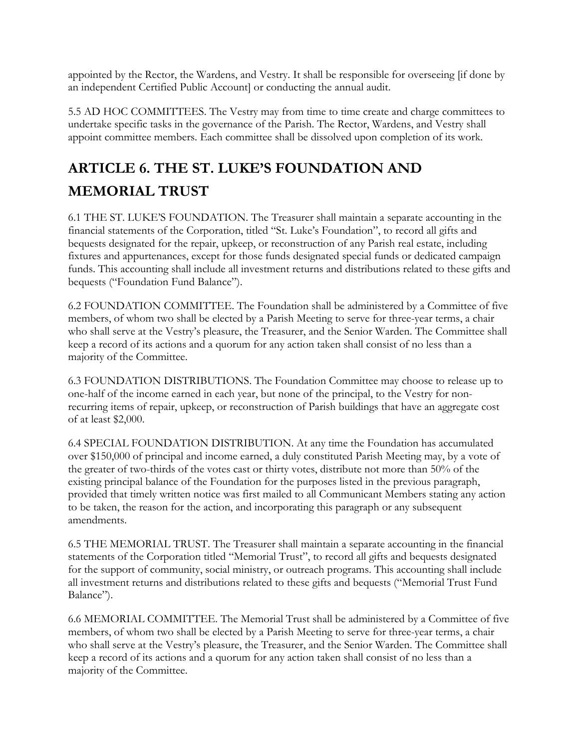appointed by the Rector, the Wardens, and Vestry. It shall be responsible for overseeing [if done by an independent Certified Public Account] or conducting the annual audit.

5.5 AD HOC COMMITTEES. The Vestry may from time to time create and charge committees to undertake specific tasks in the governance of the Parish. The Rector, Wardens, and Vestry shall appoint committee members. Each committee shall be dissolved upon completion of its work.

# **ARTICLE 6. THE ST. LUKE'S FOUNDATION AND MEMORIAL TRUST**

6.1 THE ST. LUKE'S FOUNDATION. The Treasurer shall maintain a separate accounting in the financial statements of the Corporation, titled "St. Luke's Foundation", to record all gifts and bequests designated for the repair, upkeep, or reconstruction of any Parish real estate, including fixtures and appurtenances, except for those funds designated special funds or dedicated campaign funds. This accounting shall include all investment returns and distributions related to these gifts and bequests ("Foundation Fund Balance").

6.2 FOUNDATION COMMITTEE. The Foundation shall be administered by a Committee of five members, of whom two shall be elected by a Parish Meeting to serve for three-year terms, a chair who shall serve at the Vestry's pleasure, the Treasurer, and the Senior Warden. The Committee shall keep a record of its actions and a quorum for any action taken shall consist of no less than a majority of the Committee.

6.3 FOUNDATION DISTRIBUTIONS. The Foundation Committee may choose to release up to one-half of the income earned in each year, but none of the principal, to the Vestry for nonrecurring items of repair, upkeep, or reconstruction of Parish buildings that have an aggregate cost of at least \$2,000.

6.4 SPECIAL FOUNDATION DISTRIBUTION. At any time the Foundation has accumulated over \$150,000 of principal and income earned, a duly constituted Parish Meeting may, by a vote of the greater of two-thirds of the votes cast or thirty votes, distribute not more than 50% of the existing principal balance of the Foundation for the purposes listed in the previous paragraph, provided that timely written notice was first mailed to all Communicant Members stating any action to be taken, the reason for the action, and incorporating this paragraph or any subsequent amendments.

6.5 THE MEMORIAL TRUST. The Treasurer shall maintain a separate accounting in the financial statements of the Corporation titled "Memorial Trust", to record all gifts and bequests designated for the support of community, social ministry, or outreach programs. This accounting shall include all investment returns and distributions related to these gifts and bequests ("Memorial Trust Fund Balance").

6.6 MEMORIAL COMMITTEE. The Memorial Trust shall be administered by a Committee of five members, of whom two shall be elected by a Parish Meeting to serve for three-year terms, a chair who shall serve at the Vestry's pleasure, the Treasurer, and the Senior Warden. The Committee shall keep a record of its actions and a quorum for any action taken shall consist of no less than a majority of the Committee.